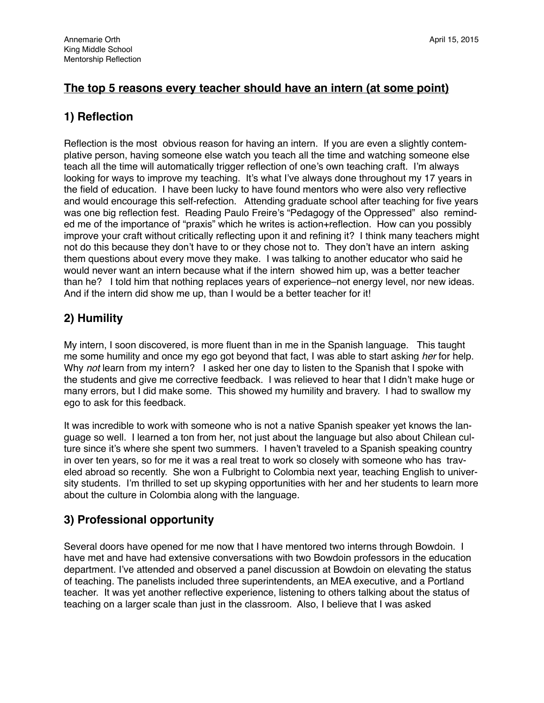### **The top 5 reasons every teacher should have an intern (at some point)**

## **1) Reflection**

Reflection is the most obvious reason for having an intern. If you are even a slightly contemplative person, having someone else watch you teach all the time and watching someone else teach all the time will automatically trigger reflection of one's own teaching craft. I'm always looking for ways to improve my teaching. It's what I've always done throughout my 17 years in the field of education. I have been lucky to have found mentors who were also very reflective and would encourage this self-refection. Attending graduate school after teaching for five years was one big reflection fest. Reading Paulo Freire's "Pedagogy of the Oppressed" also reminded me of the importance of "praxis" which he writes is action+reflection. How can you possibly improve your craft without critically reflecting upon it and refining it? I think many teachers might not do this because they don't have to or they chose not to. They don't have an intern asking them questions about every move they make. I was talking to another educator who said he would never want an intern because what if the intern showed him up, was a better teacher than he? I told him that nothing replaces years of experience–not energy level, nor new ideas. And if the intern did show me up, than I would be a better teacher for it!

# **2) Humility**

My intern, I soon discovered, is more fluent than in me in the Spanish language. This taught me some humility and once my ego got beyond that fact, I was able to start asking *her* for help. Why *not* learn from my intern? I asked her one day to listen to the Spanish that I spoke with the students and give me corrective feedback. I was relieved to hear that I didn't make huge or many errors, but I did make some. This showed my humility and bravery. I had to swallow my ego to ask for this feedback.

It was incredible to work with someone who is not a native Spanish speaker yet knows the language so well. I learned a ton from her, not just about the language but also about Chilean culture since it's where she spent two summers. I haven't traveled to a Spanish speaking country in over ten years, so for me it was a real treat to work so closely with someone who has traveled abroad so recently. She won a Fulbright to Colombia next year, teaching English to university students. I'm thrilled to set up skyping opportunities with her and her students to learn more about the culture in Colombia along with the language.

# **3) Professional opportunity**

Several doors have opened for me now that I have mentored two interns through Bowdoin. I have met and have had extensive conversations with two Bowdoin professors in the education department. I've attended and observed a panel discussion at Bowdoin on elevating the status of teaching. The panelists included three superintendents, an MEA executive, and a Portland teacher. It was yet another reflective experience, listening to others talking about the status of teaching on a larger scale than just in the classroom. Also, I believe that I was asked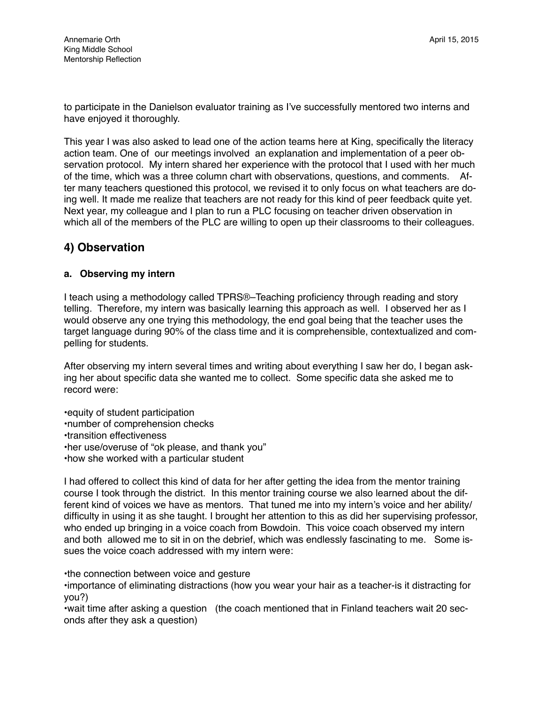to participate in the Danielson evaluator training as I've successfully mentored two interns and have enjoyed it thoroughly.

This year I was also asked to lead one of the action teams here at King, specifically the literacy action team. One of our meetings involved an explanation and implementation of a peer observation protocol. My intern shared her experience with the protocol that I used with her much of the time, which was a three column chart with observations, questions, and comments. After many teachers questioned this protocol, we revised it to only focus on what teachers are doing well. It made me realize that teachers are not ready for this kind of peer feedback quite yet. Next year, my colleague and I plan to run a PLC focusing on teacher driven observation in which all of the members of the PLC are willing to open up their classrooms to their colleagues.

## **4) Observation**

#### **a. Observing my intern**

I teach using a methodology called TPRS®–Teaching proficiency through reading and story telling. Therefore, my intern was basically learning this approach as well. I observed her as I would observe any one trying this methodology, the end goal being that the teacher uses the target language during 90% of the class time and it is comprehensible, contextualized and compelling for students.

After observing my intern several times and writing about everything I saw her do, I began asking her about specific data she wanted me to collect. Some specific data she asked me to record were:

•equity of student participation •number of comprehension checks •transition effectiveness •her use/overuse of "ok please, and thank you" •how she worked with a particular student

I had offered to collect this kind of data for her after getting the idea from the mentor training course I took through the district. In this mentor training course we also learned about the different kind of voices we have as mentors. That tuned me into my intern's voice and her ability/ difficulty in using it as she taught. I brought her attention to this as did her supervising professor, who ended up bringing in a voice coach from Bowdoin. This voice coach observed my intern and both allowed me to sit in on the debrief, which was endlessly fascinating to me. Some issues the voice coach addressed with my intern were:

•the connection between voice and gesture

•importance of eliminating distractions (how you wear your hair as a teacher-is it distracting for you?)

•wait time after asking a question (the coach mentioned that in Finland teachers wait 20 seconds after they ask a question)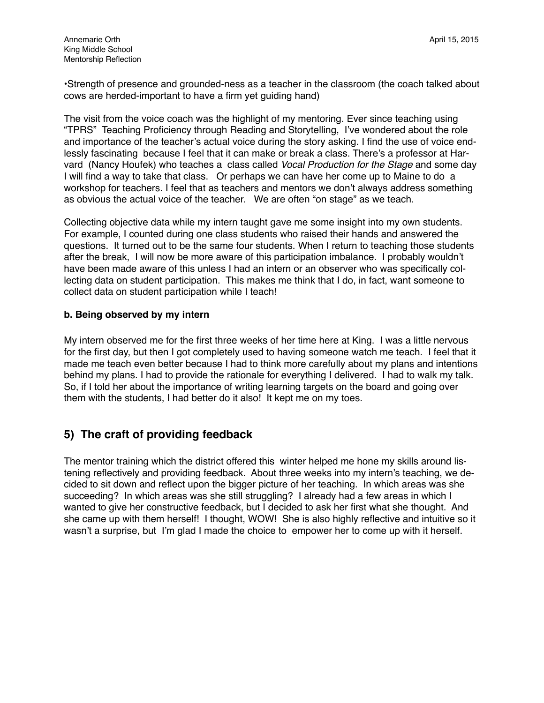•Strength of presence and grounded-ness as a teacher in the classroom (the coach talked about cows are herded-important to have a firm yet guiding hand)

The visit from the voice coach was the highlight of my mentoring. Ever since teaching using "TPRS" Teaching Proficiency through Reading and Storytelling, I've wondered about the role and importance of the teacher's actual voice during the story asking. I find the use of voice endlessly fascinating because I feel that it can make or break a class. There's a professor at Harvard (Nancy Houfek) who teaches a class called *Vocal Production for the Stage* and some day I will find a way to take that class. Or perhaps we can have her come up to Maine to do a workshop for teachers. I feel that as teachers and mentors we don't always address something as obvious the actual voice of the teacher. We are often "on stage" as we teach.

Collecting objective data while my intern taught gave me some insight into my own students. For example, I counted during one class students who raised their hands and answered the questions. It turned out to be the same four students. When I return to teaching those students after the break, I will now be more aware of this participation imbalance. I probably wouldn't have been made aware of this unless I had an intern or an observer who was specifically collecting data on student participation. This makes me think that I do, in fact, want someone to collect data on student participation while I teach!

#### **b. Being observed by my intern**

My intern observed me for the first three weeks of her time here at King. I was a little nervous for the first day, but then I got completely used to having someone watch me teach. I feel that it made me teach even better because I had to think more carefully about my plans and intentions behind my plans. I had to provide the rationale for everything I delivered. I had to walk my talk. So, if I told her about the importance of writing learning targets on the board and going over them with the students, I had better do it also! It kept me on my toes.

### **5) The craft of providing feedback**

The mentor training which the district offered this winter helped me hone my skills around listening reflectively and providing feedback. About three weeks into my intern's teaching, we decided to sit down and reflect upon the bigger picture of her teaching. In which areas was she succeeding? In which areas was she still struggling? I already had a few areas in which I wanted to give her constructive feedback, but I decided to ask her first what she thought. And she came up with them herself! I thought, WOW! She is also highly reflective and intuitive so it wasn't a surprise, but I'm glad I made the choice to empower her to come up with it herself.